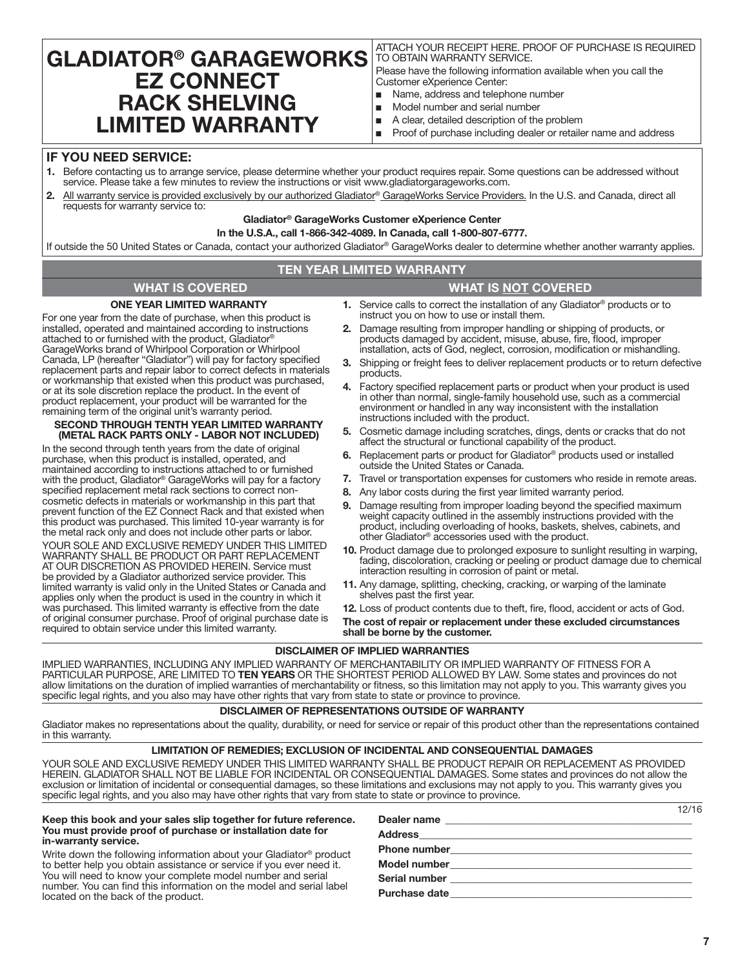# **GLADIATOR® GARAGEWORKS EZ CONNECT RACK SHELVING LIMITED WARRANTY**

ATTACH YOUR RECEIPT HERE. PROOF OF PURCHASE IS REQUIRED TO OBTAIN WARRANTY SERVICE.

Please have the following information available when you call the Customer eXperience Center:

- Name, address and telephone number
- Model number and serial number
- A clear, detailed description of the problem
- Proof of purchase including dealer or retailer name and address

## **IF YOU NEED SERVICE:**

- **1.** Before contacting us to arrange service, please determine whether your product requires repair. Some questions can be addressed without service. Please take a few minutes to review the instructions or visit www.gladiatorgarageworks.com.
- **2.** All warranty service is provided exclusively by our authorized Gladiator® GarageWorks Service Providers. In the U.S. and Canada, direct all requests for warranty service to:

# **Gladiator® GarageWorks Customer eXperience Center**

**In the U.S.A., call 1-866-342-4089. In Canada, call 1-800-807-6777.**

If outside the 50 United States or Canada, contact your authorized Gladiator® GarageWorks dealer to determine whether another warranty applies.

### **TEN YEAR LIMITED WARRANTY**

# **WHAT IS COVERED WHAT IS NOT COVERED**

# **ONE YEAR LIMITED WARRANTY**

For one year from the date of purchase, when this product is installed, operated and maintained according to instructions attached to or furnished with the product, Gladiator GarageWorks brand of Whirlpool Corporation or Whirlpool Canada, LP (hereafter "Gladiator") will pay for factory specified replacement parts and repair labor to correct defects in materials or workmanship that existed when this product was purchased, or at its sole discretion replace the product. In the event of product replacement, your product will be warranted for the remaining term of the original unit's warranty period.

#### **SECOND THROUGH TENTH YEAR LIMITED WARRANTY (METAL RACK PARTS ONLY - LABOR NOT INCLUDED)**

In the second through tenth years from the date of original purchase, when this product is installed, operated, and maintained according to instructions attached to or furnished with the product, Gladiator® GarageWorks will pay for a factory specified replacement metal rack sections to correct noncosmetic defects in materials or workmanship in this part that prevent function of the EZ Connect Rack and that existed when this product was purchased. This limited 10-year warranty is for the metal rack only and does not include other parts or labor. YOUR SOLE AND EXCLUSIVE REMEDY UNDER THIS LIMITED WARRANTY SHALL BE PRODUCT OR PART REPLACEMENT AT OUR DISCRETION AS PROVIDED HEREIN. Service must be provided by a Gladiator authorized service provider. This limited warranty is valid only in the United States or Canada and applies only when the product is used in the country in which it was purchased. This limited warranty is effective from the date of original consumer purchase. Proof of original purchase date is required to obtain service under this limited warranty.

- **1.** Service calls to correct the installation of any Gladiator® products or to instruct you on how to use or install them.
- **2.** Damage resulting from improper handling or shipping of products, or products damaged by accident, misuse, abuse, fire, flood, improper installation, acts of God, neglect, corrosion, modification or mishandling.
- **3.** Shipping or freight fees to deliver replacement products or to return defective products.
- **4.** Factory specified replacement parts or product when your product is used in other than normal, single-family household use, such as a commercial environment or handled in any way inconsistent with the installation instructions included with the product.
- **5.** Cosmetic damage including scratches, dings, dents or cracks that do not affect the structural or functional capability of the product.
- **6.** Replacement parts or product for Gladiator® products used or installed outside the United States or Canada.
- **7.** Travel or transportation expenses for customers who reside in remote areas.
- **8.** Any labor costs during the first year limited warranty period.
- **9.** Damage resulting from improper loading beyond the specified maximum weight capacity outlined in the assembly instructions provided with the product, including overloading of hooks, baskets, shelves, cabinets, and other Gladiator® accessories used with the product.
- **10.** Product damage due to prolonged exposure to sunlight resulting in warping, fading, discoloration, cracking or peeling or product damage due to chemical interaction resulting in corrosion of paint or metal.
- **11.** Any damage, splitting, checking, cracking, or warping of the laminate shelves past the first year.

**12.** Loss of product contents due to theft, fire, flood, accident or acts of God.

**The cost of repair or replacement under these excluded circumstances shall be borne by the customer.** 

### **DISCLAIMER OF IMPLIED WARRANTIES**

IMPLIED WARRANTIES, INCLUDING ANY IMPLIED WARRANTY OF MERCHANTABILITY OR IMPLIED WARRANTY OF FITNESS FOR A PARTICULAR PURPOSE, ARE LIMITED TO **TEN YEARS** OR THE SHORTEST PERIOD ALLOWED BY LAW. Some states and provinces do not allow limitations on the duration of implied warranties of merchantability or fitness, so this limitation may not apply to you. This warranty gives you specific legal rights, and you also may have other rights that vary from state to state or province to province.

#### **DISCLAIMER OF REPRESENTATIONS OUTSIDE OF WARRANTY**

Gladiator makes no representations about the quality, durability, or need for service or repair of this product other than the representations contained in this warranty.

#### **LIMITATION OF REMEDIES; EXCLUSION OF INCIDENTAL AND CONSEQUENTIAL DAMAGES**

YOUR SOLE AND EXCLUSIVE REMEDY UNDER THIS LIMITED WARRANTY SHALL BE PRODUCT REPAIR OR REPLACEMENT AS PROVIDED HEREIN. GLADIATOR SHALL NOT BE LIABLE FOR INCIDENTAL OR CONSEQUENTIAL DAMAGES. Some states and provinces do not allow the exclusion or limitation of incidental or consequential damages, so these limitations and exclusions may not apply to you. This warranty gives you specific legal rights, and you also may have other rights that vary from state to state or province to province.

#### **Keep this book and your sales slip together for future reference. You must provide proof of purchase or installation date for in-warranty service.**

Write down the following information about your Gladiator® product to better help you obtain assistance or service if you ever need it. You will need to know your complete model number and serial number. You can find this information on the model and serial label located on the back of the product.

| Dealer name   |  |
|---------------|--|
|               |  |
|               |  |
|               |  |
|               |  |
| Purchase date |  |

12/16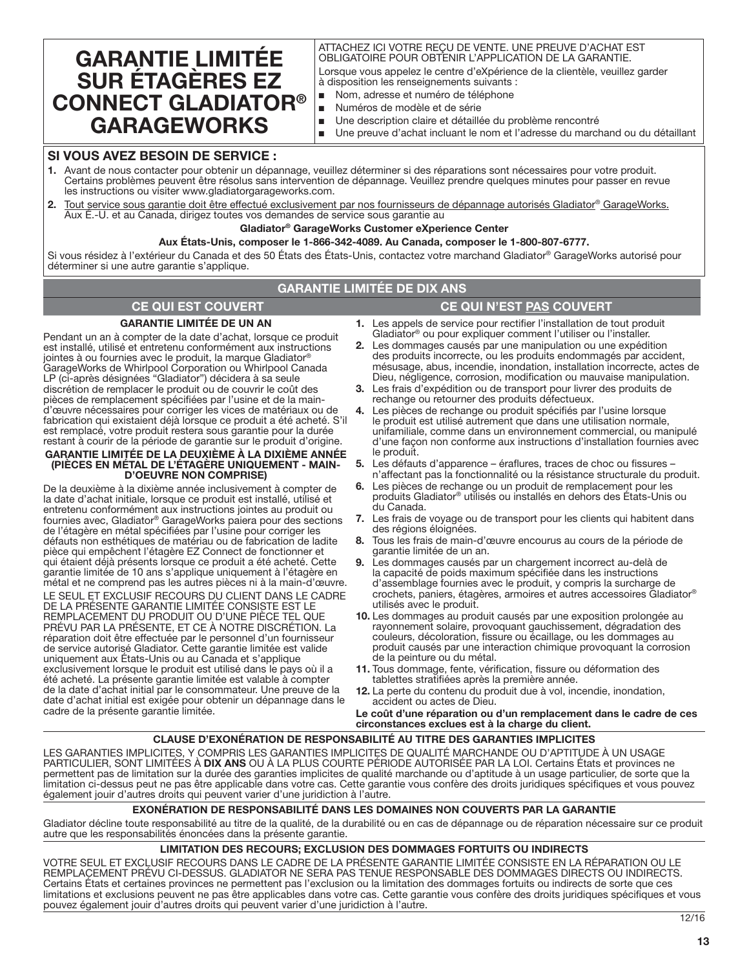# **GARANTIE LIMITÉE SUR ÉTAGÈRES EZ CONNECT GLADIATOR® GARAGEWORKS**

#### ATTACHEZ ICI VOTRE REÇU DE VENTE. UNE PREUVE D'ACHAT EST OBLIGATOIRE POUR OBTENIR L'APPLICATION DE LA GARANTIE.

Lorsque vous appelez le centre d'eXpérience de la clientèle, veuillez garder à disposition les renseignements suivants :

- Nom, adresse et numéro de téléphone
- Numéros de modèle et de série
- Une description claire et détaillée du problème rencontré
- Une preuve d'achat incluant le nom et l'adresse du marchand ou du détaillant

# **SI VOUS AVEZ BESOIN DE SERVICE :**

- **1.** Avant de nous contacter pour obtenir un dépannage, veuillez déterminer si des réparations sont nécessaires pour votre produit. Certains problèmes peuvent être résolus sans intervention de dépannage. Veuillez prendre quelques minutes pour passer en revue les instructions ou visiter www.gladiatorgarageworks.com.
- **2.** Tout service sous garantie doit être effectué exclusivement par nos fournisseurs de dépannage autorisés Gladiator® GarageWorks. Aux É.-U. et au Canada, dirigez toutes vos demandes de service sous garantie au

### **Gladiator® GarageWorks Customer eXperience Center**

#### **Aux États-Unis, composer le 1-866-342-4089. Au Canada, composer le 1-800-807-6777.**

Si vous résidez à l'extérieur du Canada et des 50 États des États-Unis, contactez votre marchand Gladiator® GarageWorks autorisé pour déterminer si une autre garantie s'applique.

# **GARANTIE LIMITÉE DE DIX ANS**

# **CE QUI EST COUVERT CE QUI N'EST PAS COUVERT**

# **GARANTIE LIMITÉE DE UN AN**

Pendant un an à compter de la date d'achat, lorsque ce produit est installé, utilisé et entretenu conformément aux instructions jointes à ou fournies avec le produit, la marque Gladiator<sup>®</sup> GarageWorks de Whirlpool Corporation ou Whirlpool Canada LP (ci-après désignées "Gladiator") décidera à sa seule discrétion de remplacer le produit ou de couvrir le coût des pièces de remplacement spécifiées par l'usine et de la maind'œuvre nécessaires pour corriger les vices de matériaux ou de fabrication qui existaient déjà lorsque ce produit a été acheté. S'il est remplacé, votre produit restera sous garantie pour la durée restant à courir de la période de garantie sur le produit d'origine.

#### **GARANTIE LIMITÉE DE LA DEUXIÈME À LA DIXIÈME ANNÉE (PIÈCES EN MÉTAL DE L'ÉTAGÈRE UNIQUEMENT - MAIN-D'OEUVRE NON COMPRISE)**

De la deuxième à la dixième année inclusivement à compter de la date d'achat initiale, lorsque ce produit est installé, utilisé et entretenu conformément aux instructions jointes au produit ou fournies avec, Gladiator® GarageWorks paiera pour des sections de l'étagère en métal spécifiées par l'usine pour corriger les défauts non esthétiques de matériau ou de fabrication de ladite pièce qui empêchent l'étagère EZ Connect de fonctionner et qui étaient déjà présents lorsque ce produit a été acheté. Cette garantie limitée de 10 ans s'applique uniquement à l'étagère en métal et ne comprend pas les autres pièces ni à la main-d'œuvre.

LE SEUL ET EXCLUSIF RECOURS DU CLIENT DANS LE CADRE DE LA PRÉSENTE GARANTIE LIMITÉE CONSISTE EST LE REMPLACEMENT DU PRODUIT OU D'UNE PIÈCE TEL QUE PRÉVU PAR LA PRÉSENTE, ET CE À NOTRE DISCRÉTION. La réparation doit être effectuée par le personnel d'un fournisseur de service autorisé Gladiator. Cette garantie limitée est valide uniquement aux États-Unis ou au Canada et s'applique exclusivement lorsque le produit est utilisé dans le pays où il a été acheté. La présente garantie limitée est valable à compter de la date d'achat initial par le consommateur. Une preuve de la date d'achat initial est exigée pour obtenir un dépannage dans le cadre de la présente garantie limitée.

- **1.** Les appels de service pour rectifier l'installation de tout produit Gladiator® ou pour expliquer comment l'utiliser ou l'installer.
- **2.** Les dommages causés par une manipulation ou une expédition
- des produits incorrecte, ou les produits endommagés par accident, mésusage, abus, incendie, inondation, installation incorrecte, actes de Dieu, négligence, corrosion, modification ou mauvaise manipulation.
- **3.** Les frais d'expédition ou de transport pour livrer des produits de rechange ou retourner des produits défectueux.
- **4.** Les pièces de rechange ou produit spécifiés par l'usine lorsque le produit est utilisé autrement que dans une utilisation normale, unifamiliale, comme dans un environnement commercial, ou manipulé d'une façon non conforme aux instructions d'installation fournies avec le produit.
- **5.** Les défauts d'apparence éraflures, traces de choc ou fissures n'affectant pas la fonctionnalité ou la résistance structurale du produit.
- **6.** Les pièces de rechange ou un produit de remplacement pour les produits Gladiator® utilisés ou installés en dehors des États-Unis ou du Canada.
- **7.** Les frais de voyage ou de transport pour les clients qui habitent dans des régions éloignées.
- **8.** Tous les frais de main-d'œuvre encourus au cours de la période de garantie limitée de un an.
- Les dommages causés par un chargement incorrect au-delà de la capacité de poids maximum spécifiée dans les instructions d'assemblage fournies avec le produit, y compris la surcharge de crochets, paniers, étagères, armoires et autres accessoires Gladiator® utilisés avec le produit.
- **10.** Les dommages au produit causés par une exposition prolongée au rayonnement solaire, provoquant gauchissement, dégradation des couleurs, décoloration, fissure ou écaillage, ou les dommages au produit causés par une interaction chimique provoquant la corrosion de la peinture ou du métal.
- **11.** Tous dommage, fente, vérification, fissure ou déformation des tablettes stratifiées après la première année.
- **12.** La perte du contenu du produit due à vol, incendie, inondation, accident ou actes de Dieu.

**Le coût d'une réparation ou d'un remplacement dans le cadre de ces circonstances exclues est à la charge du client.** 

# **CLAUSE D'EXONÉRATION DE RESPONSABILITÉ AU TITRE DES GARANTIES IMPLICITES**

LES GARANTIES IMPLICITES, Y COMPRIS LES GARANTIES IMPLICITES DE QUALITÉ MARCHANDE OU D'APTITUDE À UN USAGE PARTICULIER, SONT LIMITÉES À **DIX ANS** OU À LA PLUS COURTE PÉRIODE AUTORISÉE PAR LA LOI. Certains États et provinces ne permettent pas de limitation sur la durée des garanties implicites de qualité marchande ou d'aptitude à un usage particulier, de sorte que la limitation ci-dessus peut ne pas être applicable dans votre cas. Cette garantie vous confère des droits juridiques spécifiques et vous pouvez également jouir d'autres droits qui peuvent varier d'une juridiction à l'autre.

### **EXONÉRATION DE RESPONSABILITÉ DANS LES DOMAINES NON COUVERTS PAR LA GARANTIE**

Gladiator décline toute responsabilité au titre de la qualité, de la durabilité ou en cas de dépannage ou de réparation nécessaire sur ce produit autre que les responsabilités énoncées dans la présente garantie.

### **LIMITATION DES RECOURS; EXCLUSION DES DOMMAGES FORTUITS OU INDIRECTS**

VOTRE SEUL ET EXCLUSIF RECOURS DANS LE CADRE DE LA PRÉSENTE GARANTIE LIMITÉE CONSISTE EN LA RÉPARATION OU LE REMPLACEMENT PRÉVU CI-DESSUS. GLADIATOR NE SERA PAS TENUE RESPONSABLE DES DOMMAGES DIRECTS OU INDIRECTS. Certains États et certaines provinces ne permettent pas l'exclusion ou la limitation des dommages fortuits ou indirects de sorte que ces limitations et exclusions peuvent ne pas être applicables dans votre cas. Cette garantie vous confère des droits juridiques spécifiques et vous pouvez également jouir d'autres droits qui peuvent varier d'une juridiction à l'autre.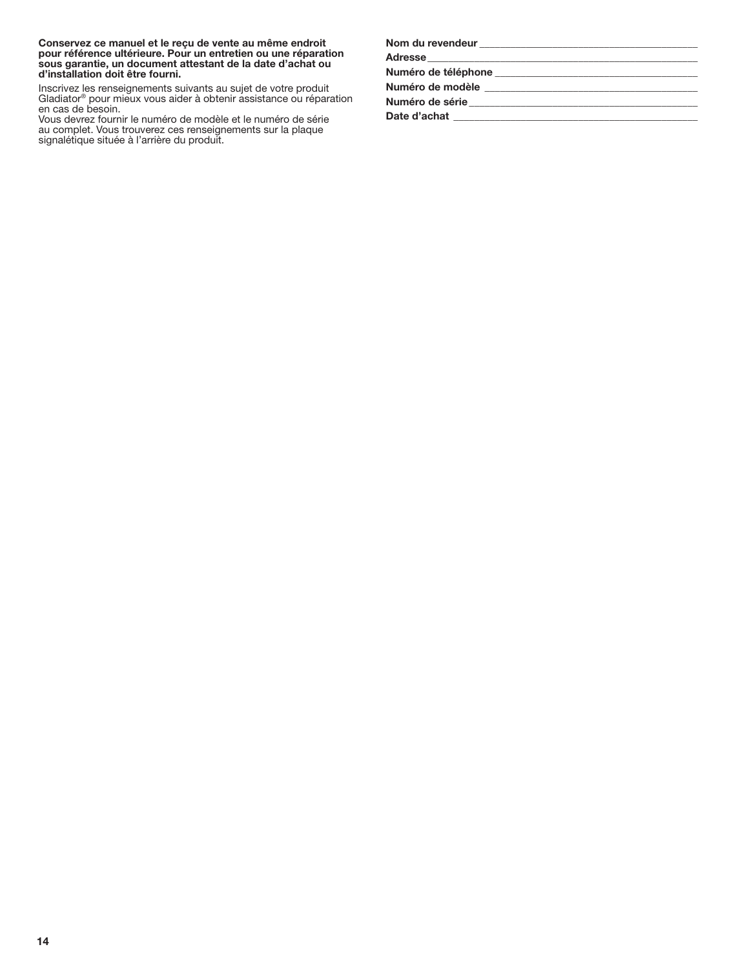**Conservez ce manuel et le reçu de vente au même endroit pour référence ultérieure. Pour un entretien ou une réparation sous garantie, un document attestant de la date d'achat ou d'installation doit être fourni.**

Inscrivez les renseignements suivants au sujet de votre produit Gladiator® pour mieux vous aider à obtenir assistance ou réparation en cas de besoin.

Vous devrez fournir le numéro de modèle et le numéro de série au complet. Vous trouverez ces renseignements sur la plaque signalétique située à l'arrière du produit.

| Nom du revendeur<br><u> </u>                                                                                   |                                                                                                                      |
|----------------------------------------------------------------------------------------------------------------|----------------------------------------------------------------------------------------------------------------------|
|                                                                                                                |                                                                                                                      |
| Numéro de téléphone                                                                                            |                                                                                                                      |
| Numéro de modèle                                                                                               | <u> 2000 - 2000 - 2000 - 2000 - 2000 - 2000 - 2000 - 2000 - 2000 - 2000 - 2000 - 2000 - 2000 - 2000 - 2000 - 200</u> |
| Numéro de série en la contrata de la contrata de la contrata de la contrata de la contrata de la contrata de l |                                                                                                                      |
| Date d'achat                                                                                                   |                                                                                                                      |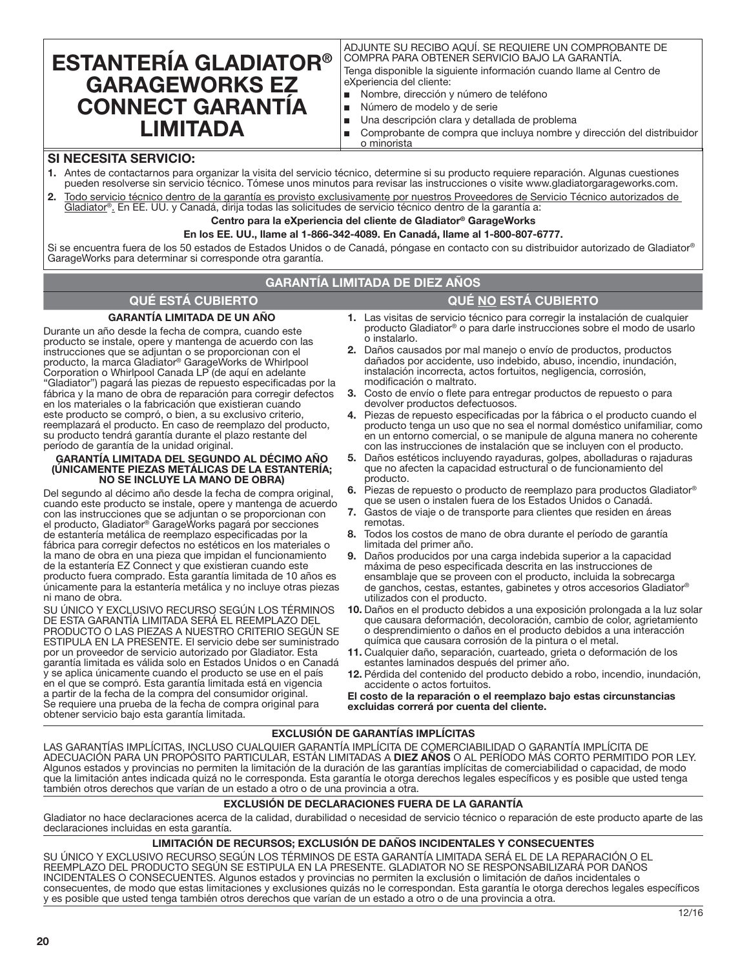# **ESTANTERÍA GLADIATOR® GARAGEWORKS EZ CONNECT GARANTÍA LIMITADA**

ADJUNTE SU RECIBO AQUÍ. SE REQUIERE UN COMPROBANTE DE COMPRA PARA OBTENER SERVICIO BAJO LA GARANTÍA.

Tenga disponible la siguiente información cuando llame al Centro de eXperiencia del cliente:

- Nombre, dirección y número de teléfono
- Número de modelo y de serie
- Una descripción clara y detallada de problema
- Comprobante de compra que incluya nombre y dirección del distribuidor o minorista

# **SI NECESITA SERVICIO:**

- **1.** Antes de contactarnos para organizar la visita del servicio técnico, determine si su producto requiere reparación. Algunas cuestiones pueden resolverse sin servicio técnico. Tómese unos minutos para revisar las instrucciones o visite www.gladiatorgarageworks.com.
- **2.** Todo servicio técnico dentro de la garantía es provisto exclusivamente por nuestros Proveedores de Servicio Técnico autorizados de Gladiator®. En EE. UU. y Canadá, dirija todas las solicitudes de servicio técnico dentro de la garantía a:

# **Centro para la eXperiencia del cliente de Gladiator® GarageWorks**

**En los EE. UU., llame al 1-866-342-4089. En Canadá, llame al 1-800-807-6777.**

Si se encuentra fuera de los 50 estados de Estados Unidos o de Canadá, póngase en contacto con su distribuidor autorizado de Gladiator® GarageWorks para determinar si corresponde otra garantía.

# **GARANTÍA LIMITADA DE DIEZ AÑOS**

# **QUÉ ESTÁ CUBIERTO QUÉ NO ESTÁ CUBIERTO**

## **GARANTÍA LIMITADA DE UN AÑO**

Durante un año desde la fecha de compra, cuando este producto se instale, opere y mantenga de acuerdo con las instrucciones que se adjuntan o se proporcionan con el producto, la marca Gladiator® GarageWorks de Whirlpool Corporation o Whirlpool Canada LP (de aquí en adelante "Gladiator") pagará las piezas de repuesto especificadas por la fábrica y la mano de obra de reparación para corregir defectos en los materiales o la fabricación que existieran cuando este producto se compró, o bien, a su exclusivo criterio, reemplazará el producto. En caso de reemplazo del producto, su producto tendrá garantía durante el plazo restante del período de garantía de la unidad original.

#### **GARANTÍA LIMITADA DEL SEGUNDO AL DÉCIMO AÑO (ÚNICAMENTE PIEZAS METÁLICAS DE LA ESTANTERÍA; NO SE INCLUYE LA MANO DE OBRA)**

Del segundo al décimo año desde la fecha de compra original, cuando este producto se instale, opere y mantenga de acuerdo con las instrucciones que se adjuntan o se proporcionan con el producto, Gladiator® GarageWorks pagará por secciones de estantería metálica de reemplazo especificadas por la fábrica para corregir defectos no estéticos en los materiales o la mano de obra en una pieza que impidan el funcionamiento de la estantería EZ Connect y que existieran cuando este producto fuera comprado. Esta garantía limitada de 10 años es únicamente para la estantería metálica y no incluye otras piezas ni mano de obra.

SU ÚNICO Y EXCLUSIVO RECURSO SEGÚN LOS TÉRMINOS DE ESTA GARANTÍA LIMITADA SERÁ EL REEMPLAZO DEL PRODUCTO O LAS PIEZAS A NUESTRO CRITERIO SEGÚN SE ESTIPULA EN LA PRESENTE. El servicio debe ser suministrado por un proveedor de servicio autorizado por Gladiator. Esta garantía limitada es válida solo en Estados Unidos o en Canadá y se aplica únicamente cuando el producto se use en el país en el que se compró. Esta garantía limitada está en vigencia a partir de la fecha de la compra del consumidor original. Se requiere una prueba de la fecha de compra original para obtener servicio bajo esta garantía limitada.

- **1.** Las visitas de servicio técnico para corregir la instalación de cualquier producto Gladiator® o para darle instrucciones sobre el modo de usarlo o instalarlo.
- **2.** Daños causados por mal manejo o envío de productos, productos dañados por accidente, uso indebido, abuso, incendio, inundación, instalación incorrecta, actos fortuitos, negligencia, corrosión, modificación o maltrato.
- **3.** Costo de envío o flete para entregar productos de repuesto o para devolver productos defectuosos.
- **4.** Piezas de repuesto especificadas por la fábrica o el producto cuando el producto tenga un uso que no sea el normal doméstico unifamiliar, como en un entorno comercial, o se manipule de alguna manera no coherente con las instrucciones de instalación que se incluyen con el producto.
- **5.** Daños estéticos incluyendo rayaduras, golpes, abolladuras o rajaduras que no afecten la capacidad estructural o de funcionamiento del producto.
- **6.** Piezas de repuesto o producto de reemplazo para productos Gladiator® que se usen o instalen fuera de los Estados Unidos o Canadá.
- **7.** Gastos de viaje o de transporte para clientes que residen en áreas remotas.
- **8.** Todos los costos de mano de obra durante el período de garantía limitada del primer año.
- **9.** Daños producidos por una carga indebida superior a la capacidad máxima de peso especificada descrita en las instrucciones de ensamblaje que se proveen con el producto, incluida la sobrecarga de ganchos, cestas, estantes, gabinetes y otros accesorios Gladiator® utilizados con el producto.
- **10.** Daños en el producto debidos a una exposición prolongada a la luz solar que causara deformación, decoloración, cambio de color, agrietamiento o desprendimiento o daños en el producto debidos a una interacción química que causara corrosión de la pintura o el metal.
- **11.** Cualquier daño, separación, cuarteado, grieta o deformación de los estantes laminados después del primer año.
- **12.** Pérdida del contenido del producto debido a robo, incendio, inundación, accidente o actos fortuitos.

**El costo de la reparación o el reemplazo bajo estas circunstancias excluidas correrá por cuenta del cliente.** 

# **EXCLUSIÓN DE GARANTÍAS IMPLÍCITAS**

LAS GARANTÍAS IMPLÍCITAS, INCLUSO CUALQUIER GARANTÍA IMPLÍCITA DE COMERCIABILIDAD O GARANTÍA IMPLÍCITA DE ADECUACIÓN PARA UN PROPÓSITO PARTICULAR, ESTÁN LIMITADAS A **DIEZ AÑOS** O AL PERÍODO MÁS CORTO PERMITIDO POR LEY. Algunos estados y provincias no permiten la limitación de la duración de las garantías implícitas de comerciabilidad o capacidad, de modo que la limitación antes indicada quizá no le corresponda. Esta garantía le otorga derechos legales específicos y es posible que usted tenga también otros derechos que varían de un estado a otro o de una provincia a otra.

### **EXCLUSIÓN DE DECLARACIONES FUERA DE LA GARANTÍA**

Gladiator no hace declaraciones acerca de la calidad, durabilidad o necesidad de servicio técnico o reparación de este producto aparte de las declaraciones incluidas en esta garantía.

## **LIMITACIÓN DE RECURSOS; EXCLUSIÓN DE DAÑOS INCIDENTALES Y CONSECUENTES**

SU ÚNICO Y EXCLUSIVO RECURSO SEGÚN LOS TÉRMINOS DE ESTA GARANTÍA LIMITADA SERÁ EL DE LA REPARACIÓN O EL REEMPLAZO DEL PRODUCTO SEGÚN SE ESTIPULA EN LA PRESENTE. GLADIATOR NO SE RESPONSABILIZARÁ POR DAÑOS INCIDENTALES O CONSECUENTES. Algunos estados y provincias no permiten la exclusión o limitación de daños incidentales o consecuentes, de modo que estas limitaciones y exclusiones quizás no le correspondan. Esta garantía le otorga derechos legales específicos y es posible que usted tenga también otros derechos que varían de un estado a otro o de una provincia a otra.